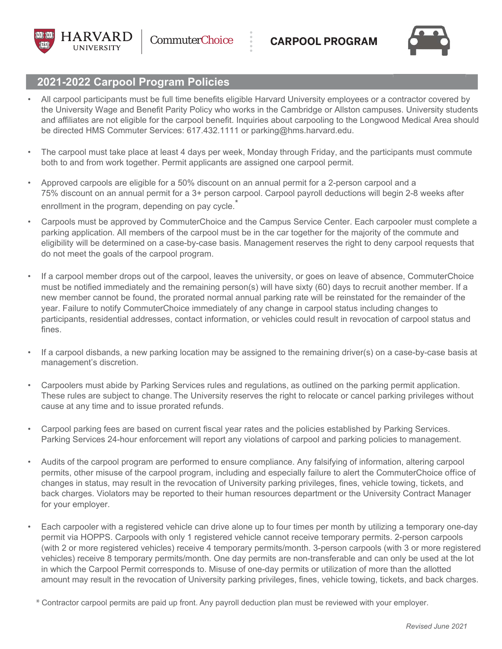



## **2022-2023 Carpool Program Policies**

- All carpool participants must be full time benefits eligible Harvard University employees or a contractor covered by the University Wage and Benefit Parity Policy who works in the Cambridge or Allston campuses. University students and affiliates are not eligible for the carpool benefit. Inquiries about carpooling to the Longwood Medical Area should be directed HMS Commuter Services: 617.432.1111 or parking@hms.harvard.edu.
- The carpool must take place at least 4 days per week, Monday through Friday, and the participants must commute both to and from work together. Permit applicants are assigned one carpool permit.
- Approved carpools are eligible for a 50% discount on an annual permit for a 2-person carpool and a 75% discount on an annual permit for a 3+ person carpool. The carpool program requires that all parties pay equally for their permit via payroll deduction. Carpool payroll deductions will begin 2-8 weeks after enrollment in the program, depending on pay cycle.<sup>\*</sup>
- Carpools must be approved by CommuterChoice and the Campus Service Center. Each carpooler must complete a parking application. All members of the carpool must be in the car together for the majority of the commute and eligibility will be determined on a case-by-case basis. Management reserves the right to deny carpool requests that do not meet the goals of the carpool program.
- ,IDFDUSRROPHPEHUGURSVRXWRIWKHFDUSRROOHDYHVWKHXQLYHUVLW\RUJRHVRQOHDYHRIDEVHQFH &ommuter&hoice must enotified immediately and the remaining person s ill have si ty days to recruit another member. If a ne mem er cannot e found the prorated normal annual par ing rate ill e reinstated for the remainder of the year. ailure to notify ommuter hoice immediately of any change in carpool status including changes to participants residential addresses contact information or vehicles could result in revocation of carpool status and nes.
- If a carpool disbands, a new parking location may be assigned to the remaining driver(s) on a case-by-case basis at management's discretion.
- Carpoolers must abide by Parking Services rules and regulations, as outlined on the parking permit application. These rules are subject to change. The University reserves the right to relocate or cancel parking privileges without cause at any time and to issue prorated refunds.
- Carpool parking fees are based on current fiscal year rates and the policies established by Parking Services. Parking Services 24-hour enforcement will report any violations of carpool and parking policies to management.
- Audits of the carpool program are performed to ensure compliance. Any falsifying of information, altering carpool permits, other misuse of the carpool program, including and especially failure to alert the CommuterChoice office of changes in status, may result in the revocation of University parking privileges, fines, vehicle towing, tickets, and back charges. Violators may be reported to their human resources department or the University Contract Manager for your employer.
- Each carpooler with a registered vehicle can drive alone up to four times per month by utilizing a temporary one-day permit via HOPPS. Carpools with only 1 registered vehicle cannot receive temporary permits. 2-person carpools (with 2 or more registered vehicles) receive 4 temporary permits/month. 3-person carpools (with 3 or more registered vehicles receive temporary permits month. ne day permits are non transfera le and can only e used at the lot in hich the arpool ermit corresponds to. isuse of one day permits or utili ation of more than the allotted amount may result in the revocation of niversity par ing privileges nes vehicle to ing tic ets and ac charges.

<sup>\*</sup> Contractor carpool permits are paid up front. Any payroll deduction plan must be reviewed with your employer.